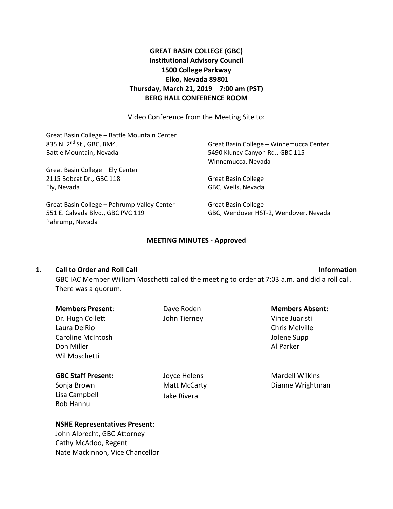## **GREAT BASIN COLLEGE (GBC) Institutional Advisory Council 1500 College Parkway Elko, Nevada 89801 Thursday, March 21, 2019 7:00 am (PST) BERG HALL CONFERENCE ROOM**

Video Conference from the Meeting Site to:

Great Basin College – Battle Mountain Center 835 N. 2nd St., GBC, BM4, Battle Mountain, Nevada Great Basin College – Ely Center 2115 Bobcat Dr., GBC 118 Ely, Nevada Great Basin College – Pahrump Valley Center 551 E. Calvada Blvd., GBC PVC 119 Pahrump, Nevada Great Basin College – Winnemucca Center 5490 Kluncy Canyon Rd., GBC 115 Winnemucca, Nevada Great Basin College GBC, Wells, Nevada Great Basin College GBC, Wendover HST-2, Wendover, Nevada

### **MEETING MINUTES - Approved**

### **1. Call to Order and Roll Call Information**

GBC IAC Member William Moschetti called the meeting to order at 7:03 a.m. and did a roll call. There was a quorum.

| <b>Members Present:</b>   | Dave Roden   | <b>Members Absent:</b> |
|---------------------------|--------------|------------------------|
| Dr. Hugh Collett          | John Tierney | Vince Juaristi         |
| Laura DelRio              |              | Chris Melville         |
| Caroline McIntosh         |              | Jolene Supp            |
| Don Miller                |              | Al Parker              |
| Wil Moschetti             |              |                        |
| <b>GBC Staff Present:</b> | Joyce Helens | <b>Mardell Wilkins</b> |
| Sonja Brown               | Matt McCarty | Dianne Wrightman       |
| Lisa Campbell             | Jake Rivera  |                        |
| <b>Bob Hannu</b>          |              |                        |

### **NSHE Representatives Present**:

John Albrecht, GBC Attorney Cathy McAdoo, Regent Nate Mackinnon, Vice Chancellor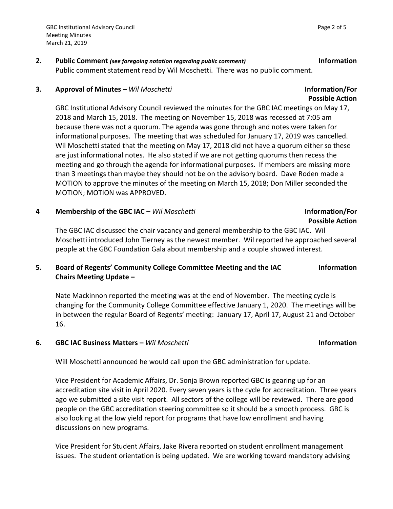### **2. Public Comment** *(see foregoing notation regarding public comment)* **Information** Public comment statement read by Wil Moschetti. There was no public comment.

### **3. Approval of Minutes –** *Wil Moschetti* **Information/For**

GBC Institutional Advisory Council reviewed the minutes for the GBC IAC meetings on May 17, 2018 and March 15, 2018. The meeting on November 15, 2018 was recessed at 7:05 am because there was not a quorum. The agenda was gone through and notes were taken for informational purposes. The meeting that was scheduled for January 17, 2019 was cancelled. Wil Moschetti stated that the meeting on May 17, 2018 did not have a quorum either so these are just informational notes. He also stated if we are not getting quorums then recess the meeting and go through the agenda for informational purposes. If members are missing more than 3 meetings than maybe they should not be on the advisory board. Dave Roden made a MOTION to approve the minutes of the meeting on March 15, 2018; Don Miller seconded the MOTION; MOTION was APPROVED.

### **4 Membership of the GBC IAC –** *Wil Moschetti* **Information/For**

# **Possible Action**

The GBC IAC discussed the chair vacancy and general membership to the GBC IAC. Wil Moschetti introduced John Tierney as the newest member. Wil reported he approached several people at the GBC Foundation Gala about membership and a couple showed interest.

#### **5. Board of Regents' Community College Committee Meeting and the IAC Chairs Meeting Update – Information**

Nate Mackinnon reported the meeting was at the end of November. The meeting cycle is changing for the Community College Committee effective January 1, 2020. The meetings will be in between the regular Board of Regents' meeting: January 17, April 17, August 21 and October 16.

### **6. GBC IAC Business Matters –** *Wil Moschetti* **Information**

Will Moschetti announced he would call upon the GBC administration for update.

Vice President for Academic Affairs, Dr. Sonja Brown reported GBC is gearing up for an accreditation site visit in April 2020. Every seven years is the cycle for accreditation. Three years ago we submitted a site visit report. All sectors of the college will be reviewed. There are good people on the GBC accreditation steering committee so it should be a smooth process. GBC is also looking at the low yield report for programs that have low enrollment and having discussions on new programs.

Vice President for Student Affairs, Jake Rivera reported on student enrollment management issues. The student orientation is being updated. We are working toward mandatory advising

**Possible Action**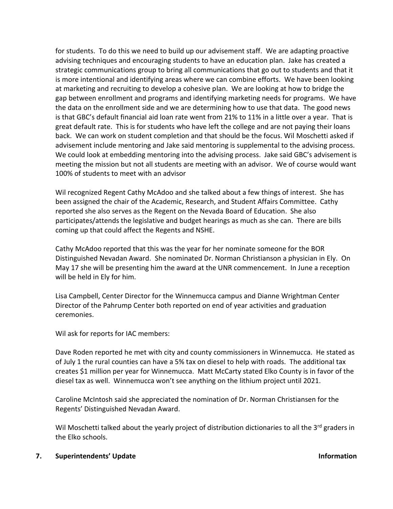for students. To do this we need to build up our advisement staff. We are adapting proactive advising techniques and encouraging students to have an education plan. Jake has created a strategic communications group to bring all communications that go out to students and that it is more intentional and identifying areas where we can combine efforts. We have been looking at marketing and recruiting to develop a cohesive plan. We are looking at how to bridge the gap between enrollment and programs and identifying marketing needs for programs. We have the data on the enrollment side and we are determining how to use that data. The good news is that GBC's default financial aid loan rate went from 21% to 11% in a little over a year. That is great default rate. This is for students who have left the college and are not paying their loans back. We can work on student completion and that should be the focus. Wil Moschetti asked if advisement include mentoring and Jake said mentoring is supplemental to the advising process. We could look at embedding mentoring into the advising process. Jake said GBC's advisement is meeting the mission but not all students are meeting with an advisor. We of course would want 100% of students to meet with an advisor

Wil recognized Regent Cathy McAdoo and she talked about a few things of interest. She has been assigned the chair of the Academic, Research, and Student Affairs Committee. Cathy reported she also serves as the Regent on the Nevada Board of Education. She also participates/attends the legislative and budget hearings as much as she can. There are bills coming up that could affect the Regents and NSHE.

Cathy McAdoo reported that this was the year for her nominate someone for the BOR Distinguished Nevadan Award. She nominated Dr. Norman Christianson a physician in Ely. On May 17 she will be presenting him the award at the UNR commencement. In June a reception will be held in Ely for him.

Lisa Campbell, Center Director for the Winnemucca campus and Dianne Wrightman Center Director of the Pahrump Center both reported on end of year activities and graduation ceremonies.

Wil ask for reports for IAC members:

Dave Roden reported he met with city and county commissioners in Winnemucca. He stated as of July 1 the rural counties can have a 5% tax on diesel to help with roads. The additional tax creates \$1 million per year for Winnemucca. Matt McCarty stated Elko County is in favor of the diesel tax as well. Winnemucca won't see anything on the lithium project until 2021.

Caroline McIntosh said she appreciated the nomination of Dr. Norman Christiansen for the Regents' Distinguished Nevadan Award.

Wil Moschetti talked about the yearly project of distribution dictionaries to all the 3<sup>rd</sup> graders in the Elko schools.

### **7. Superintendents' Update Information**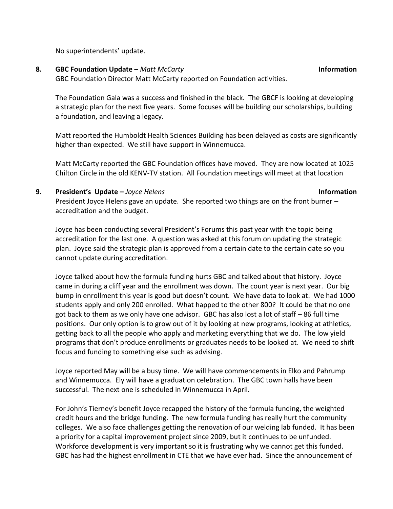No superintendents' update.

### **8. GBC Foundation Update –** *Matt McCarty* **Information**

GBC Foundation Director Matt McCarty reported on Foundation activities.

The Foundation Gala was a success and finished in the black. The GBCF is looking at developing a strategic plan for the next five years. Some focuses will be building our scholarships, building a foundation, and leaving a legacy.

Matt reported the Humboldt Health Sciences Building has been delayed as costs are significantly higher than expected. We still have support in Winnemucca.

Matt McCarty reported the GBC Foundation offices have moved. They are now located at 1025 Chilton Circle in the old KENV-TV station. All Foundation meetings will meet at that location

### **9. President's Update –** *Joyce Helens* **Information**

President Joyce Helens gave an update. She reported two things are on the front burner – accreditation and the budget.

Joyce has been conducting several President's Forums this past year with the topic being accreditation for the last one. A question was asked at this forum on updating the strategic plan. Joyce said the strategic plan is approved from a certain date to the certain date so you cannot update during accreditation.

Joyce talked about how the formula funding hurts GBC and talked about that history. Joyce came in during a cliff year and the enrollment was down. The count year is next year. Our big bump in enrollment this year is good but doesn't count. We have data to look at. We had 1000 students apply and only 200 enrolled. What happed to the other 800? It could be that no one got back to them as we only have one advisor. GBC has also lost a lot of staff – 86 full time positions. Our only option is to grow out of it by looking at new programs, looking at athletics, getting back to all the people who apply and marketing everything that we do. The low yield programs that don't produce enrollments or graduates needs to be looked at. We need to shift focus and funding to something else such as advising.

Joyce reported May will be a busy time. We will have commencements in Elko and Pahrump and Winnemucca. Ely will have a graduation celebration. The GBC town halls have been successful. The next one is scheduled in Winnemucca in April.

For John's Tierney's benefit Joyce recapped the history of the formula funding, the weighted credit hours and the bridge funding. The new formula funding has really hurt the community colleges. We also face challenges getting the renovation of our welding lab funded. It has been a priority for a capital improvement project since 2009, but it continues to be unfunded. Workforce development is very important so it is frustrating why we cannot get this funded. GBC has had the highest enrollment in CTE that we have ever had. Since the announcement of